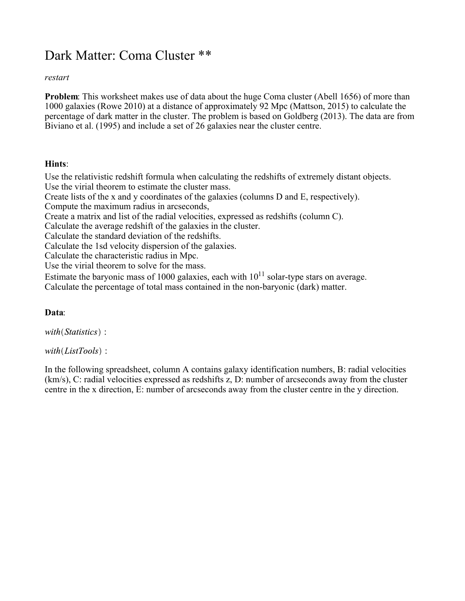# Dark Matter: Coma Cluster \*\*

## *restart*

**Problem:** This worksheet makes use of data about the huge Coma cluster (Abell 1656) of more than 1000 galaxies (Rowe 2010) at a distance of approximately 92 Mpc (Mattson, 2015) to calculate the percentage of dark matter in the cluster. The problem is based on Goldberg (2013). The data are from Biviano et al. (1995) and include a set of 26 galaxies near the cluster centre.

## **Hints**:

Use the relativistic redshift formula when calculating the redshifts of extremely distant objects. Use the virial theorem to estimate the cluster mass. Create lists of the x and y coordinates of the galaxies (columns D and E, respectively). Compute the maximum radius in arcseconds, Create a matrix and list of the radial velocities, expressed as redshifts (column C). Calculate the average redshift of the galaxies in the cluster. Calculate the standard deviation of the redshifts. Calculate the 1sd velocity dispersion of the galaxies. Calculate the characteristic radius in Mpc. Use the virial theorem to solve for the mass. Estimate the baryonic mass of 1000 galaxies, each with  $10^{11}$  solar-type stars on average.

Calculate the percentage of total mass contained in the non-baryonic (dark) matter.

# **Data**:

with(Statistics):

 $with (ListTools):$ 

In the following spreadsheet, column A contains galaxy identification numbers, B: radial velocities (km/s), C: radial velocities expressed as redshifts z, D: number of arcseconds away from the cluster centre in the x direction, E: number of arcseconds away from the cluster centre in the y direction.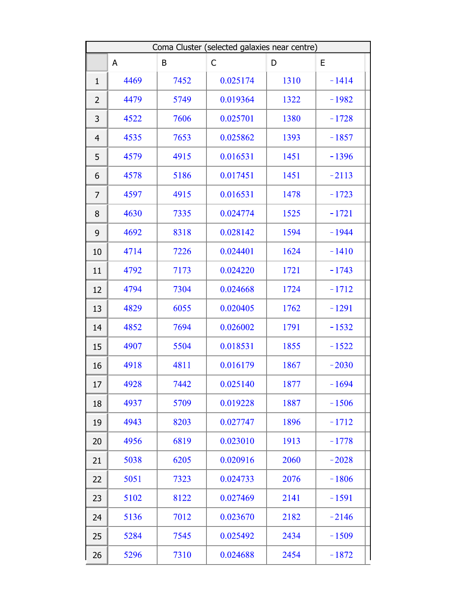| Coma Cluster (selected galaxies near centre) |      |      |          |      |         |
|----------------------------------------------|------|------|----------|------|---------|
|                                              | A    | B    | C        | D    | E       |
| $\mathbf{1}$                                 | 4469 | 7452 | 0.025174 | 1310 | $-1414$ |
| $\overline{2}$                               | 4479 | 5749 | 0.019364 | 1322 | $-1982$ |
| 3                                            | 4522 | 7606 | 0.025701 | 1380 | $-1728$ |
| $\overline{4}$                               | 4535 | 7653 | 0.025862 | 1393 | $-1857$ |
| 5                                            | 4579 | 4915 | 0.016531 | 1451 | $-1396$ |
| 6                                            | 4578 | 5186 | 0.017451 | 1451 | $-2113$ |
| 7                                            | 4597 | 4915 | 0.016531 | 1478 | $-1723$ |
| 8                                            | 4630 | 7335 | 0.024774 | 1525 | $-1721$ |
| 9                                            | 4692 | 8318 | 0.028142 | 1594 | $-1944$ |
| 10                                           | 4714 | 7226 | 0.024401 | 1624 | $-1410$ |
| 11                                           | 4792 | 7173 | 0.024220 | 1721 | $-1743$ |
| 12                                           | 4794 | 7304 | 0.024668 | 1724 | $-1712$ |
| 13                                           | 4829 | 6055 | 0.020405 | 1762 | $-1291$ |
| 14                                           | 4852 | 7694 | 0.026002 | 1791 | $-1532$ |
| 15                                           | 4907 | 5504 | 0.018531 | 1855 | $-1522$ |
| 16                                           | 4918 | 4811 | 0.016179 | 1867 | $-2030$ |
| 17                                           | 4928 | 7442 | 0.025140 | 1877 | $-1694$ |
| 18                                           | 4937 | 5709 | 0.019228 | 1887 | $-1506$ |
| 19                                           | 4943 | 8203 | 0.027747 | 1896 | $-1712$ |
| 20                                           | 4956 | 6819 | 0.023010 | 1913 | $-1778$ |
| 21                                           | 5038 | 6205 | 0.020916 | 2060 | $-2028$ |
| 22                                           | 5051 | 7323 | 0.024733 | 2076 | $-1806$ |
| 23                                           | 5102 | 8122 | 0.027469 | 2141 | $-1591$ |
| 24                                           | 5136 | 7012 | 0.023670 | 2182 | $-2146$ |
| 25                                           | 5284 | 7545 | 0.025492 | 2434 | $-1509$ |
| 26                                           | 5296 | 7310 | 0.024688 | 2454 | $-1872$ |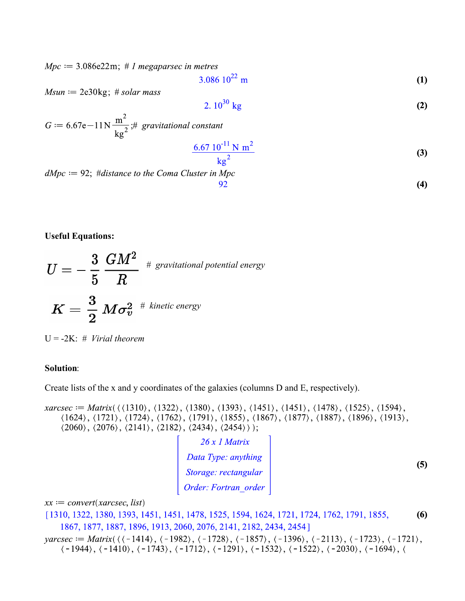$Mpc \coloneqq 3.086e22m$ ; # 1 megaparsec in metres

$$
3.086 \, 10^{22} \, \text{m} \tag{1}
$$

 $Msun := 2e30kg$ ; # solar mass

$$
2.10^{30} \text{ kg} \tag{2}
$$

$$
G := 6.67e - 11N \frac{m^2}{kg^2}; # gravitational constant
$$
\n
$$
\frac{6.67 \, 10^{-11} \, N \, m^2}{kg^2}
$$
\n
$$
dMpc := 92; #distance to the Coma Cluster in Mpc
$$
\n
$$
92
$$
\n(4)

**(4)**

### **Useful Equations:**

$$
U=-\frac{3}{5}\,\frac{GM^2}{R}\,^{~\#~gravitational~potential~energy} \nonumber\\ K=\frac{3}{2}\,M\sigma_v^2\,^{~\#~kinetic~energy}
$$

U = -2K: # *Virial theorem*

### **Solution**:

Create lists of the x and y coordinates of the galaxies (columns D and E, respectively).

xarcsec := Matrix( $\langle \langle 1310 \rangle, \langle 1322 \rangle, \langle 1380 \rangle, \langle 1393 \rangle, \langle 1451 \rangle, \langle 1451 \rangle, \langle 1478 \rangle, \langle 1525 \rangle, \langle 1594 \rangle,$  $(1624), (1721), (1724), (1762), (1791), (1855), (1867), (1877), (1887), (1896), (1913),$  $(2060), (2076), (2141), (2182), (2434), (2454)$ ;

 $\begin{bmatrix} 26 x 1 Matrix \\ Data Type: anything \\ Storage: rectangular \\ Order: Fortran\_order \end{bmatrix}$ 

**(5)**

 $xx := convert(xarcsec, list)$ 

- [1310, 1322, 1380, 1393, 1451, 1451, 1478, 1525, 1594, 1624, 1721, 1724, 1762, 1791, 1855, **(6)** 1867, 1877, 1887, 1896, 1913, 2060, 2076, 2141, 2182, 2434, 2454]
- varcsec := Matrix( $\langle \langle -1414 \rangle, \langle -1982 \rangle, \langle -1728 \rangle, \langle -1857 \rangle, \langle -1396 \rangle, \langle -2113 \rangle, \langle -1723 \rangle, \langle -1721 \rangle,$  $\langle -1944 \rangle, \langle -1410 \rangle, \langle -1743 \rangle, \langle -1712 \rangle, \langle -1291 \rangle, \langle -1532 \rangle, \langle -1522 \rangle, \langle -2030 \rangle, \langle -1694 \rangle, \langle$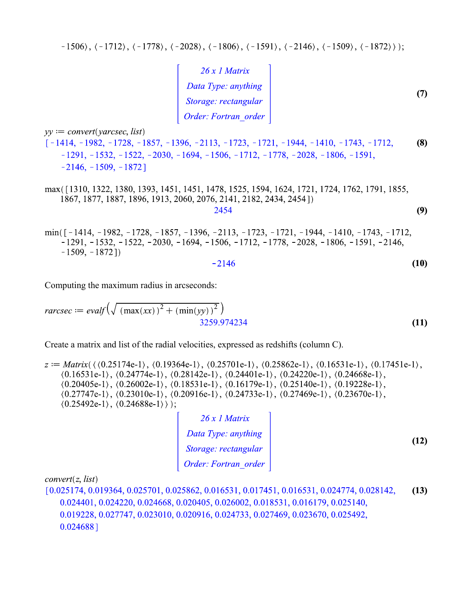$-1506$ ,  $(-1712)$ ,  $(-1778)$ ,  $(-2028)$ ,  $(-1806)$ ,  $(-1591)$ ,  $(-2146)$ ,  $(-1509)$ ,  $(-1872)$ ;

| $26x1$ Matrix        |  |
|----------------------|--|
| Data Type: anything  |  |
| Storage: rectangular |  |
| Order: Fortran order |  |

 $yy := convert(varcsec, list)$ 

 $[-1414, -1982, -1728, -1857, -1396, -2113, -1723, -1721, -1944, -1410, -1743, -1712,$ **(8)**  $-1291, -1532, -1522, -2030, -1694, -1506, -1712, -1778, -2028, -1806, -1591,$  $-2146, -1509, -1872$ ]

max([1310, 1322, 1380, 1393, 1451, 1451, 1478, 1525, 1594, 1624, 1721, 1724, 1762, 1791, 1855, 1867, 1877, 1887, 1896, 1913, 2060, 2076, 2141, 2182, 2434, 2454]) 2454 **(9)**

min( $\lceil -1414, -1982, -1728, -1857, -1396, -2113, -1723, -1721, -1944, -1410, -1743, -1712,$  $-1291, -1532, -1522, -2030, -1694, -1506, -1712, -1778, -2028, -1806, -1591, -2146,$  $-1509, -1872]$ 

$$
2146 \tag{10}
$$

Computing the maximum radius in arcseconds:

$$
rarcsec := evalf\left(\sqrt{(max(xx))^{2} + (min(yy))^{2}}\right)
$$
  
3259.974234

Create a matrix and list of the radial velocities, expressed as redshifts (column C).

 $z := \text{Matrix}(\langle 0.25174e-1 \rangle, \langle 0.19364e-1 \rangle, \langle 0.25701e-1 \rangle, \langle 0.25862e-1 \rangle, \langle 0.16531e-1 \rangle, \langle 0.17451e-1 \rangle,$  $(0.16531e-1), (0.24774e-1), (0.28142e-1), (0.24401e-1), (0.24220e-1), (0.24668e-1),$  $(0.20405e-1), (0.26002e-1), (0.18531e-1), (0.16179e-1), (0.25140e-1), (0.19228e-1),$  $(0.27747e-1), (0.23010e-1), (0.20916e-1), (0.24733e-1), (0.27469e-1), (0.23670e-1),$  $(0.25492e-1), (0.24688e-1))$ ;

| $26x1$ Matrix        |
|----------------------|
| Data Type: anything  |
| Storage: rectangular |
| Order: Fortran order |

**(12)**

**(11)**

 $convert(z, list)$ 

 $[0.025174, 0.019364, 0.025701, 0.025862, 0.016531, 0.017451, 0.016531, 0.024774, 0.028142,$ **(13)**  $0.024401, 0.024220, 0.024668, 0.020405, 0.026002, 0.018531, 0.016179, 0.025140,$ 0.019228, 0.027747, 0.023010, 0.020916, 0.024733, 0.027469, 0.023670, 0.025492,  $0.024688]$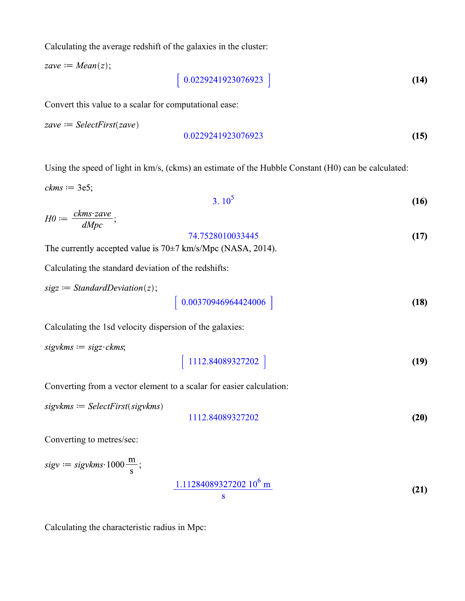Calculating the average redshift of the galaxies in the cluster:

 $zave := Mean(z);$ 

**(14)** 

Convert this value to a scalar for computational ease:

 $zave := SelectFirst(zave)$ 

$$
0.0229241923076923 \tag{15}
$$

Using the speed of light in km/s, (ckms) an estimate of the Hubble Constant (H0) can be calculated:

 $ckms := 3e5;$ 

$$
3.10^5 \t\t(16)
$$

$$
H0 := \frac{ckms\cdot zave}{dMpc};
$$
\n
$$
74.7528010033445 \tag{17}
$$

The currently accepted value is  $70\pm7$  km/s/Mpc (NASA, 2014).

Calculating the standard deviation of the redshifts:

$$
sigz := StandardDeviation(z);
$$

$$
\left[ \begin{array}{c} 0.00370946964424006 \end{array} \right]
$$
 (18)

Calculating the 1sd velocity dispersion of the galaxies:

 $sigvkms := sigz\cdot ckms;$ 

$$
1112.84089327202 \t\t(19)
$$

Converting from a vector element to a scalar for easier calculation:

 $sigvkms := SelectFirst(sigvkms)$ 

$$
1112.84089327202 \t\t (20)
$$

Converting to metres/sec:

$$
sigv := sigvkms \cdot 1000 \frac{\text{m}}{\text{s}};
$$
\n
$$
\frac{1.11284089327202 \, 10^6 \, \text{m}}{\text{s}}
$$
\n(21)

Calculating the characteristic radius in Mpc: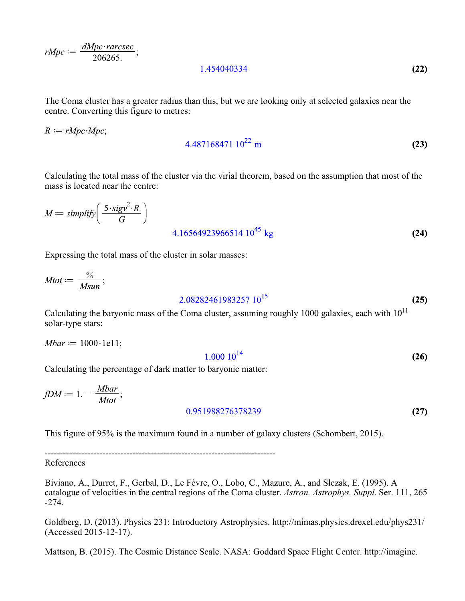$rMpc := \frac{dMpc \cdot raresec}{206265};$ 

1.454040334

The Coma cluster has a greater radius than this, but we are looking only at selected galaxies near the centre. Converting this figure to metres:

 $R := rMpc \cdot Mpc$ ;

$$
4.487168471 \ 10^{22} \ \mathrm{m} \tag{23}
$$

**(22)**

Calculating the total mass of the cluster via the virial theorem, based on the assumption that most of the mass is located near the centre:

$$
M := simplify\left(\frac{5 \cdot sigv^2 \cdot R}{G}\right)
$$
  
4.16564923966514 10<sup>45</sup> kg (24)

Expressing the total mass of the cluster in solar masses:

$$
Mtot := \frac{\%}{Msum};
$$

$$
2.08282461983257 \ 10^{15} \tag{25}
$$

Calculating the baryonic mass of the Coma cluster, assuming roughly 1000 galaxies, each with  $10^{11}$ solar-type stars:

 $Mbar := 1000 \cdot 1e11;$ 

$$
1.000 \; 10^{14} \tag{26}
$$

Calculating the percentage of dark matter to baryonic matter:

$$
fDM := 1. - \frac{Mbar}{Mtot};
$$
\n
$$
0.951988276378239
$$
\n(27)

This figure of 95% is the maximum found in a number of galaxy clusters (Schombert, 2015).

----------------------------------------------------------------------------

References

Biviano, A., Durret, F., Gerbal, D., Le Fèvre, O., Lobo, C., Mazure, A., and Slezak, E. (1995). A catalogue of velocities in the central regions of the Coma cluster. *Astron. Astrophys. Suppl.* Ser. 111, 265 -274.

Goldberg, D. (2013). Physics 231: Introductory Astrophysics. http://mimas.physics.drexel.edu/phys231/ (Accessed 2015-12-17).

Mattson, B. (2015). The Cosmic Distance Scale. NASA: Goddard Space Flight Center. http://imagine.